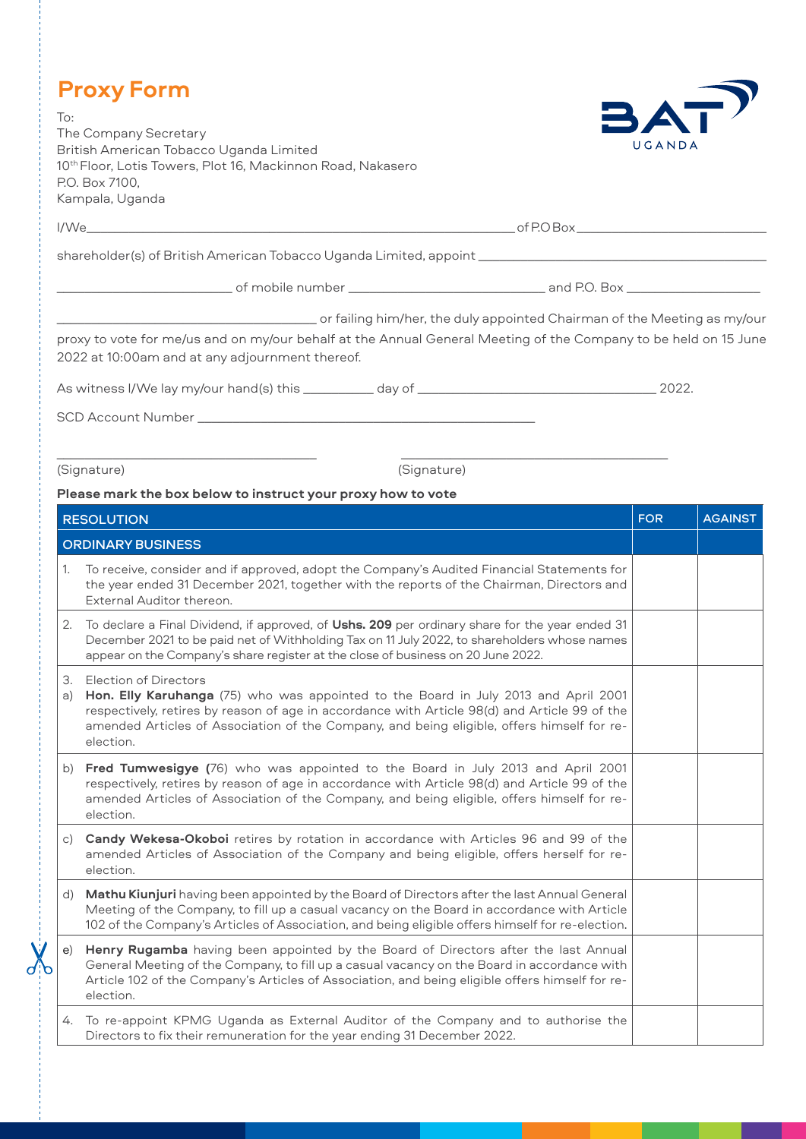|          | <b>Proxy Form</b>                                                                                                                                                                                                                                                                                                               |            |                |
|----------|---------------------------------------------------------------------------------------------------------------------------------------------------------------------------------------------------------------------------------------------------------------------------------------------------------------------------------|------------|----------------|
| To:      | The Company Secretary<br>British American Tobacco Uganda Limited<br>10 <sup>th</sup> Floor, Lotis Towers, Plot 16, Mackinnon Road, Nakasero<br>P.O. Box 7100,<br>Kampala, Uganda                                                                                                                                                | UGANDA     | $\sqrt{1}$     |
|          |                                                                                                                                                                                                                                                                                                                                 |            |                |
|          |                                                                                                                                                                                                                                                                                                                                 |            |                |
|          |                                                                                                                                                                                                                                                                                                                                 |            |                |
|          | proxy to vote for me/us and on my/our behalf at the Annual General Meeting of the Company to be held on 15 June<br>2022 at 10:00am and at any adjournment thereof.                                                                                                                                                              |            |                |
|          |                                                                                                                                                                                                                                                                                                                                 |            |                |
|          |                                                                                                                                                                                                                                                                                                                                 |            |                |
|          | (Signature)<br>(Signature)                                                                                                                                                                                                                                                                                                      |            |                |
|          | Please mark the box below to instruct your proxy how to vote                                                                                                                                                                                                                                                                    |            |                |
|          | <b>RESOLUTION</b>                                                                                                                                                                                                                                                                                                               | <b>FOR</b> | <b>AGAINST</b> |
|          | <b>ORDINARY BUSINESS</b>                                                                                                                                                                                                                                                                                                        |            |                |
| 1.       | To receive, consider and if approved, adopt the Company's Audited Financial Statements for<br>the year ended 31 December 2021, together with the reports of the Chairman, Directors and<br>External Auditor thereon.                                                                                                            |            |                |
| 2.       | To declare a Final Dividend, if approved, of Ushs. 209 per ordinary share for the year ended 31<br>December 2021 to be paid net of Withholding Tax on 11 July 2022, to shareholders whose names<br>appear on the Company's share register at the close of business on 20 June 2022.                                             |            |                |
| З.<br>a) | <b>Election of Directors</b><br>Hon. Elly Karuhanga (75) who was appointed to the Board in July 2013 and April 2001<br>respectively, retires by reason of age in accordance with Article 98(d) and Article 99 of the<br>amended Articles of Association of the Company, and being eligible, offers himself for re-<br>election. |            |                |
| b)       | Fred Tumwesigye (76) who was appointed to the Board in July 2013 and April 2001<br>respectively, retires by reason of age in accordance with Article 98(d) and Article 99 of the<br>amended Articles of Association of the Company, and being eligible, offers himself for re-<br>election.                                     |            |                |
| C)       | Candy Wekesa-Okoboi retires by rotation in accordance with Articles 96 and 99 of the<br>amended Articles of Association of the Company and being eligible, offers herself for re-                                                                                                                                               |            |                |

d) **Mathu Kiunjuri** having been appointed by the Board of Directors after the last Annual General Meeting of the Company, to fill up a casual vacancy on the Board in accordance with Article 102 of the Company's Articles of Association, and being eligible offers himself for re-election.

election.

e) **Henry Rugamba** having been appointed by the Board of Directors after the last Annual General Meeting of the Company, to fill up a casual vacancy on the Board in accordance with Article 102 of the Company's Articles of Association, and being eligible offers himself for reelection.

4. To re-appoint KPMG Uganda as External Auditor of the Company and to authorise the Directors to fix their remuneration for the year ending 31 December 2022.